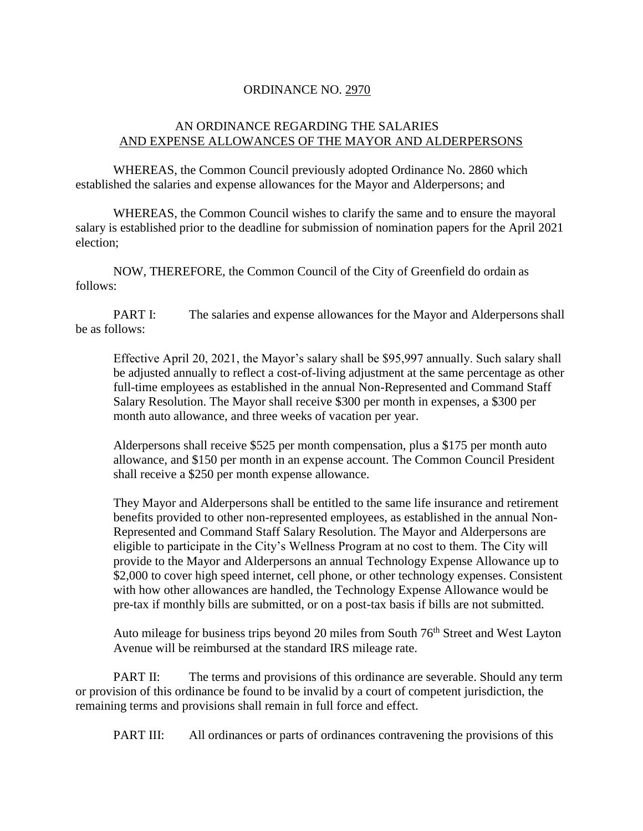## ORDINANCE NO. 2970

## AN ORDINANCE REGARDING THE SALARIES AND EXPENSE ALLOWANCES OF THE MAYOR AND ALDERPERSONS

WHEREAS, the Common Council previously adopted Ordinance No. 2860 which established the salaries and expense allowances for the Mayor and Alderpersons; and

WHEREAS, the Common Council wishes to clarify the same and to ensure the mayoral salary is established prior to the deadline for submission of nomination papers for the April 2021 election;

NOW, THEREFORE, the Common Council of the City of Greenfield do ordain as follows:

PART I: The salaries and expense allowances for the Mayor and Alderpersons shall be as follows:

Effective April 20, 2021, the Mayor's salary shall be \$95,997 annually. Such salary shall be adjusted annually to reflect a cost-of-living adjustment at the same percentage as other full-time employees as established in the annual Non-Represented and Command Staff Salary Resolution. The Mayor shall receive \$300 per month in expenses, a \$300 per month auto allowance, and three weeks of vacation per year.

Alderpersons shall receive \$525 per month compensation, plus a \$175 per month auto allowance, and \$150 per month in an expense account. The Common Council President shall receive a \$250 per month expense allowance.

They Mayor and Alderpersons shall be entitled to the same life insurance and retirement benefits provided to other non-represented employees, as established in the annual Non-Represented and Command Staff Salary Resolution. The Mayor and Alderpersons are eligible to participate in the City's Wellness Program at no cost to them. The City will provide to the Mayor and Alderpersons an annual Technology Expense Allowance up to \$2,000 to cover high speed internet, cell phone, or other technology expenses. Consistent with how other allowances are handled, the Technology Expense Allowance would be pre-tax if monthly bills are submitted, or on a post-tax basis if bills are not submitted.

Auto mileage for business trips beyond 20 miles from South  $76<sup>th</sup>$  Street and West Layton Avenue will be reimbursed at the standard IRS mileage rate.

PART II: The terms and provisions of this ordinance are severable. Should any term or provision of this ordinance be found to be invalid by a court of competent jurisdiction, the remaining terms and provisions shall remain in full force and effect.

PART III: All ordinances or parts of ordinances contravening the provisions of this